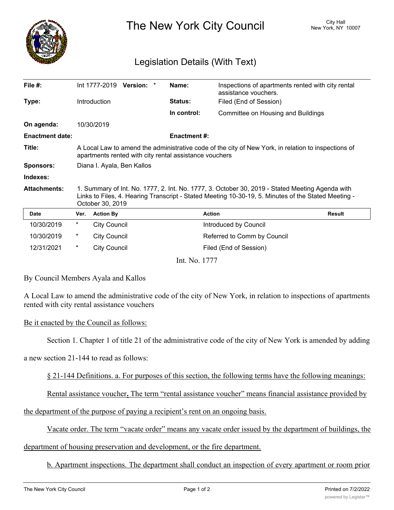

The New York City Council New York, NY 10007

## Legislation Details (With Text)

| File #:                |                                                                                                                                                                                                                            | Int 1777-2019       | Version: * |  | Name:              | Inspections of apartments rented with city rental<br>assistance vouchers. |               |
|------------------------|----------------------------------------------------------------------------------------------------------------------------------------------------------------------------------------------------------------------------|---------------------|------------|--|--------------------|---------------------------------------------------------------------------|---------------|
| Type:                  |                                                                                                                                                                                                                            | <b>Introduction</b> |            |  | Status:            | Filed (End of Session)                                                    |               |
|                        |                                                                                                                                                                                                                            |                     |            |  | In control:        | Committee on Housing and Buildings                                        |               |
| On agenda:             |                                                                                                                                                                                                                            | 10/30/2019          |            |  |                    |                                                                           |               |
| <b>Enactment date:</b> |                                                                                                                                                                                                                            |                     |            |  | <b>Enactment#:</b> |                                                                           |               |
| Title:                 | A Local Law to amend the administrative code of the city of New York, in relation to inspections of<br>apartments rented with city rental assistance vouchers                                                              |                     |            |  |                    |                                                                           |               |
| <b>Sponsors:</b>       | Diana I. Ayala, Ben Kallos                                                                                                                                                                                                 |                     |            |  |                    |                                                                           |               |
| Indexes:               |                                                                                                                                                                                                                            |                     |            |  |                    |                                                                           |               |
| <b>Attachments:</b>    | 1. Summary of Int. No. 1777, 2. Int. No. 1777, 3. October 30, 2019 - Stated Meeting Agenda with<br>Links to Files, 4. Hearing Transcript - Stated Meeting 10-30-19, 5. Minutes of the Stated Meeting -<br>October 30, 2019 |                     |            |  |                    |                                                                           |               |
| <b>Date</b>            | Ver.                                                                                                                                                                                                                       | <b>Action By</b>    |            |  |                    | <b>Action</b>                                                             | <b>Result</b> |
| 10/30/2019             | $\star$                                                                                                                                                                                                                    | <b>City Council</b> |            |  |                    | Introduced by Council                                                     |               |
| 10/30/2019             | *                                                                                                                                                                                                                          | <b>City Council</b> |            |  |                    | Referred to Comm by Council                                               |               |
| 12/31/2021             | $^\star$                                                                                                                                                                                                                   | <b>City Council</b> |            |  |                    | Filed (End of Session)                                                    |               |
|                        |                                                                                                                                                                                                                            |                     |            |  | Int. No. 1777      |                                                                           |               |

By Council Members Ayala and Kallos

A Local Law to amend the administrative code of the city of New York, in relation to inspections of apartments rented with city rental assistance vouchers

## Be it enacted by the Council as follows:

Section 1. Chapter 1 of title 21 of the administrative code of the city of New York is amended by adding

a new section 21-144 to read as follows:

§ 21-144 Definitions. a. For purposes of this section, the following terms have the following meanings:

Rental assistance voucher**.** The term "rental assistance voucher" means financial assistance provided by

the department of the purpose of paying a recipient's rent on an ongoing basis.

Vacate order. The term "vacate order" means any vacate order issued by the department of buildings, the

department of housing preservation and development, or the fire department.

b. Apartment inspections. The department shall conduct an inspection of every apartment or room prior